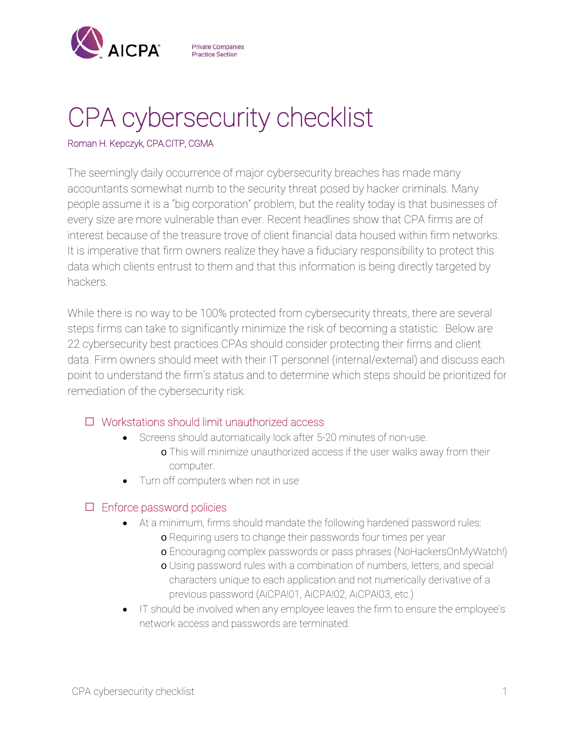

**Private Companies Practice Section** 

# CPA cybersecurity checklist

#### Roman H. Kepczyk, CPA.CITP, CGMA

The seemingly daily occurrence of major cybersecurity breaches has made many accountants somewhat numb to the security threat posed by hacker criminals. Many people assume it is a "big corporation" problem, but the reality today is that businesses of every size are more vulnerable than ever. Recent headlines show that CPA firms are of interest because of the treasure trove of client financial data housed within firm networks. It is imperative that firm owners realize they have a fiduciary responsibility to protect this data which clients entrust to them and that this information is being directly targeted by hackers.

While there is no way to be 100% protected from cybersecurity threats, there are several steps firms can take to significantly minimize the risk of becoming a statistic. Below are 22 cybersecurity best practices CPAs should consider protecting their firms and client data. Firm owners should meet with their IT personnel (internal/external) and discuss each point to understand the firm's status and to determine which steps should be prioritized for remediation of the cybersecurity risk.

# Workstations should limit unauthorized access

- Screens should automatically lock after 5-20 minutes of non-use.
	- o This will minimize unauthorized access if the user walks away from their computer.
- Turn off computers when not in use

## $\Box$  Enforce password policies

- At a minimum, firms should mandate the following hardened password rules:
	- o Requiring users to change their passwords four times per year
	- o Encouraging complex passwords or pass phrases (NoHackersOnMyWatch!)
	- o Using password rules with a combination of numbers, letters, and special characters unique to each application and not numerically derivative of a previous password (AiCPA!01, AiCPA!02, AiCPA!03, etc.)
- IT should be involved when any employee leaves the firm to ensure the employee's network access and passwords are terminated.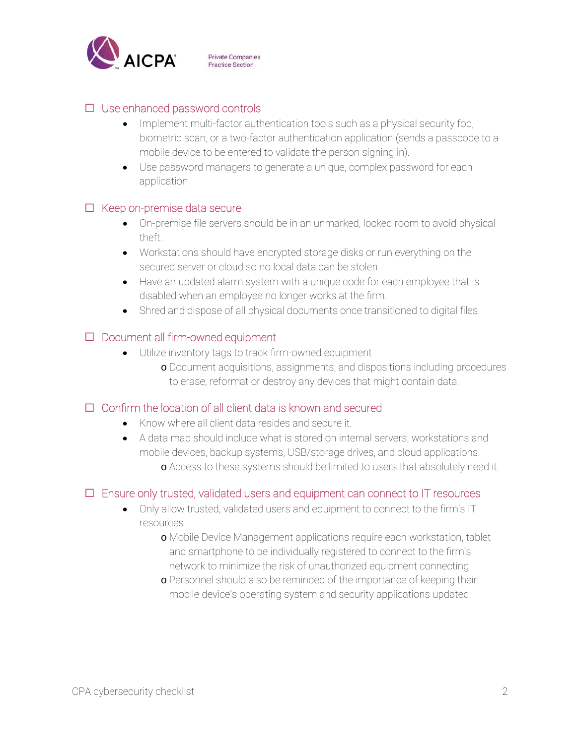

## $\Box$  Use enhanced password controls

- Implement multi-factor authentication tools such as a physical security fob, biometric scan, or a two-factor authentication application (sends a passcode to a mobile device to be entered to validate the person signing in).
- Use password managers to generate a unique, complex password for each application.

#### $\Box$  Keep on-premise data secure

- On-premise file servers should be in an unmarked, locked room to avoid physical theft.
- Workstations should have encrypted storage disks or run everything on the secured server or cloud so no local data can be stolen.
- Have an updated alarm system with a unique code for each employee that is disabled when an employee no longer works at the firm.
- Shred and dispose of all physical documents once transitioned to digital files.

## $\square$  Document all firm-owned equipment

- Utilize inventory tags to track firm-owned equipment
	- o Document acquisitions, assignments, and dispositions including procedures to erase, reformat or destroy any devices that might contain data.

## $\Box$  Confirm the location of all client data is known and secured

- Know where all client data resides and secure it.
- A data map should include what is stored on internal servers, workstations and mobile devices, backup systems, USB/storage drives, and cloud applications. o Access to these systems should be limited to users that absolutely need it.

## $\Box$  Ensure only trusted, validated users and equipment can connect to IT resources

- Only allow trusted, validated users and equipment to connect to the firm's IT resources.
	- o Mobile Device Management applications require each workstation, tablet and smartphone to be individually registered to connect to the firm's network to minimize the risk of unauthorized equipment connecting.
	- o Personnel should also be reminded of the importance of keeping their mobile device's operating system and security applications updated.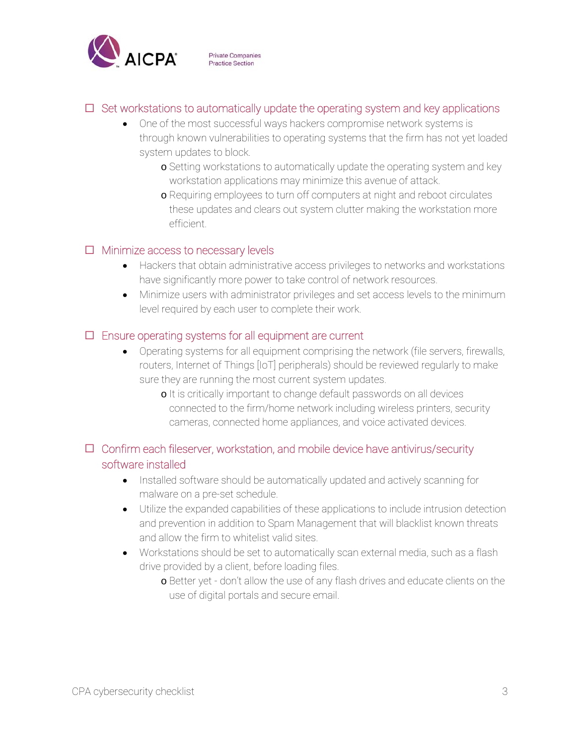

## $\Box$  Set workstations to automatically update the operating system and key applications

- One of the most successful ways hackers compromise network systems is through known vulnerabilities to operating systems that the firm has not yet loaded system updates to block.
	- o Setting workstations to automatically update the operating system and key workstation applications may minimize this avenue of attack.
	- o Requiring employees to turn off computers at night and reboot circulates these updates and clears out system clutter making the workstation more efficient.

#### $\Box$  Minimize access to necessary levels

- Hackers that obtain administrative access privileges to networks and workstations have significantly more power to take control of network resources.
- Minimize users with administrator privileges and set access levels to the minimum level required by each user to complete their work.

## $\Box$  Ensure operating systems for all equipment are current

- Operating systems for all equipment comprising the network (file servers, firewalls, routers, Internet of Things [IoT] peripherals) should be reviewed regularly to make sure they are running the most current system updates.
	- o It is critically important to change default passwords on all devices connected to the firm/home network including wireless printers, security cameras, connected home appliances, and voice activated devices.

# $\Box$  Confirm each fileserver, workstation, and mobile device have antivirus/security software installed

- Installed software should be automatically updated and actively scanning for malware on a pre-set schedule.
- Utilize the expanded capabilities of these applications to include intrusion detection and prevention in addition to Spam Management that will blacklist known threats and allow the firm to whitelist valid sites.
- Workstations should be set to automatically scan external media, such as a flash drive provided by a client, before loading files.
	- o Better yet don't allow the use of any flash drives and educate clients on the use of digital portals and secure email.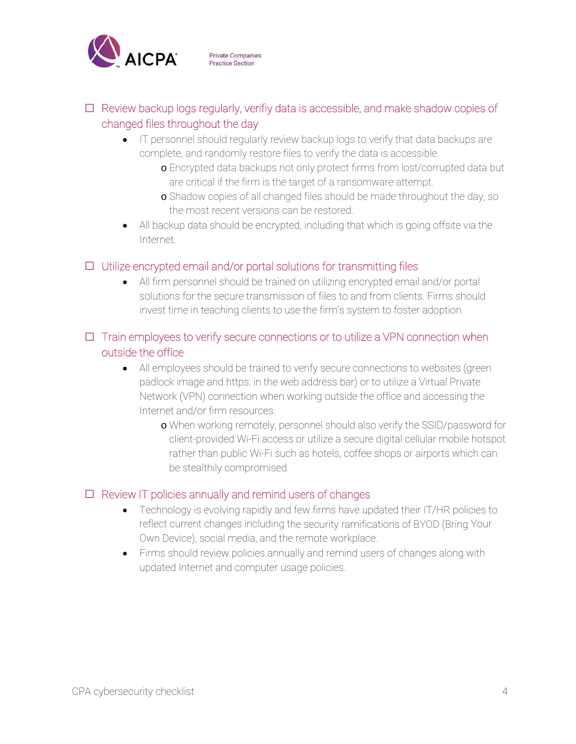

# $\Box$  Review backup logs regularly, verifiy data is accessible, and make shadow copies of changed files throughout the day

- IT personnel should regularly review backup logs to verify that data backups are complete, and randomly restore files to verify the data is accessible.
	- o Encrypted data backups not only protect firms from lost/corrupted data but are critical if the firm is the target of a ransomware attempt.
	- o Shadow copies of all changed files should be made throughout the day, so the most recent versions can be restored.
- All backup data should be encrypted, including that which is going offsite via the Internet.

## $\Box$  Utilize encrypted email and/or portal solutions for transmitting files

 All firm personnel should be trained on utilizing encrypted email and/or portal solutions for the secure transmission of files to and from clients. Firms should invest time in teaching clients to use the firm's system to foster adoption.

## $\Box$  Train employees to verify secure connections or to utilize a VPN connection when outside the office

- All employees should be trained to verify secure connections to websites (green padlock image and https: in the web address bar) or to utilize a Virtual Private Network (VPN) connection when working outside the office and accessing the Internet and/or firm resources.
	- o When working remotely, personnel should also verify the SSID/password for client-provided Wi-Fi access or utilize a secure digital cellular mobile hotspot rather than public Wi-Fi such as hotels, coffee shops or airports which can be stealthily compromised.

# $\Box$  Review IT policies annually and remind users of changes

- Technology is evolving rapidly and few firms have updated their IT/HR policies to reflect current changes including the security ramifications of BYOD (Bring Your Own Device), social media, and the remote workplace.
- Firms should review policies annually and remind users of changes along with updated Internet and computer usage policies.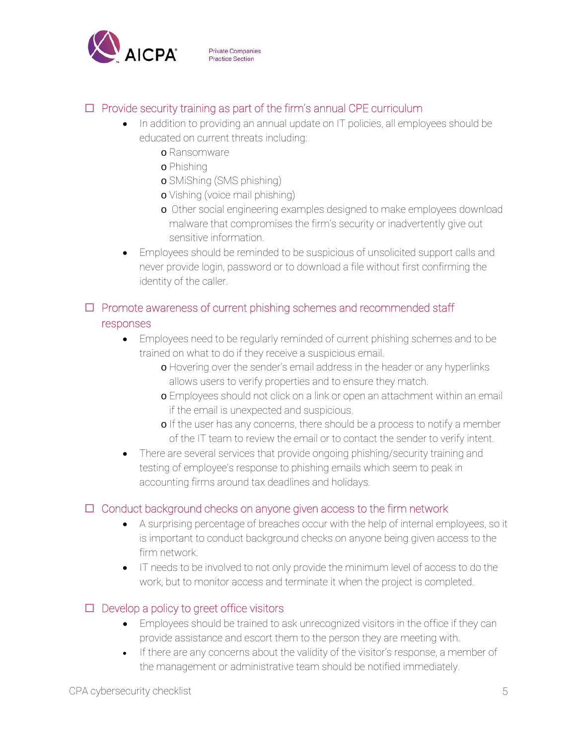

## $\Box$  Provide security training as part of the firm's annual CPE curriculum

- In addition to providing an annual update on IT policies, all employees should be educated on current threats including:
	- o Ransomware
	- o Phishing
	- o SMiShing (SMS phishing)
	- o Vishing (voice mail phishing)
	- o Other social engineering examples designed to make employees download malware that compromises the firm's security or inadvertently give out sensitive information.
- Employees should be reminded to be suspicious of unsolicited support calls and never provide login, password or to download a file without first confirming the identity of the caller.

## $\Box$  Promote awareness of current phishing schemes and recommended staff responses

- Employees need to be regularly reminded of current phishing schemes and to be trained on what to do if they receive a suspicious email.
	- o Hovering over the sender's email address in the header or any hyperlinks allows users to verify properties and to ensure they match.
	- o Employees should not click on a link or open an attachment within an email if the email is unexpected and suspicious.
	- o If the user has any concerns, there should be a process to notify a member of the IT team to review the email or to contact the sender to verify intent.
- There are several services that provide ongoing phishing/security training and testing of employee's response to phishing emails which seem to peak in accounting firms around tax deadlines and holidays.

## $\Box$  Conduct background checks on anyone given access to the firm network

- A surprising percentage of breaches occur with the help of internal employees, so it is important to conduct background checks on anyone being given access to the firm network.
- IT needs to be involved to not only provide the minimum level of access to do the work, but to monitor access and terminate it when the project is completed.

## $\Box$  Develop a policy to greet office visitors

- Employees should be trained to ask unrecognized visitors in the office if they can provide assistance and escort them to the person they are meeting with.
- If there are any concerns about the validity of the visitor's response, a member of the management or administrative team should be notified immediately.